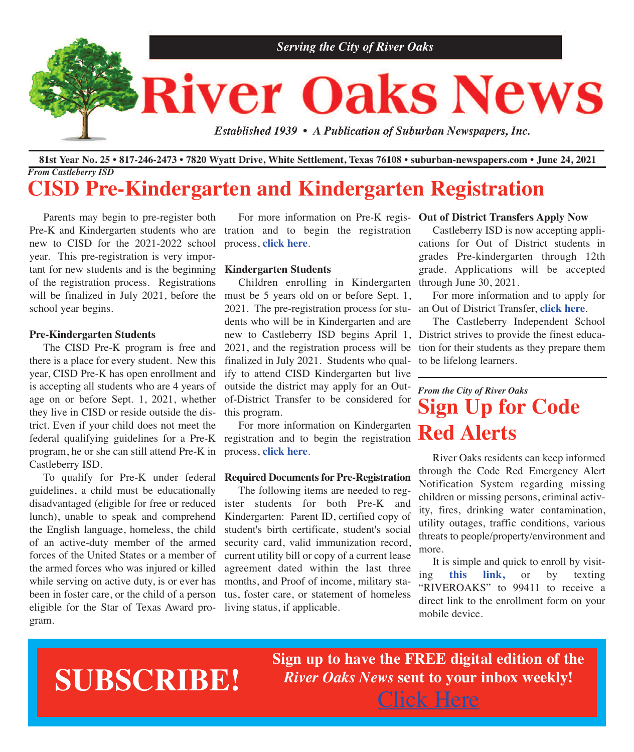

#### 81st Year No. 25 • 817-246-2473 • 7820 Wyatt Drive, White Settlement, Texas 76108 • suburban-newspapers.com • June 24, 2021 *From Castleberry ISD*

## **CISD Pre-Kindergarten and Kindergarten Registration**

 Parents may begin to pre-register both Pre-K and Kindergarten students who are tration and to begin the registration new to CISD for the 2021-2022 school year. This pre-registration is very important for new students and is the beginning **Kindergarten Students** of the registration process. Registrations will be finalized in July 2021, before the school year begins.

#### **Pre-Kindergarten Students**

 The CISD Pre-K program is free and there is a place for every student. New this year, CISD Pre-K has open enrollment and is accepting all students who are 4 years of age on or before Sept. 1, 2021, whether they live in CISD or reside outside the district. Even if your child does not meet the federal qualifying guidelines for a Pre-K program, he or she can still attend Pre-K in Castleberry ISD.

guidelines, a child must be educationally disadvantaged (eligible for free or reduced lunch), unable to speak and comprehend the English language, homeless, the child of an active-duty member of the armed forces of the United States or a member of the armed forces who was injured or killed while serving on active duty, is or ever has been in foster care, or the child of a person eligible for the Star of Texas Award program.

 For more information on Pre-K regis-**Out of District Transfers Apply Now** process, **[click](http://www.castleberryisd.net/family/prek) here**.

 Children enrolling in Kindergarten through June 30, 2021. must be 5 years old on or before Sept. 1, 2021. The pre-registration process for stu-an Out of District Transfer, **[click](http://www.castleberryisd.net/family/oodtransfer) here**. dents who will be in Kindergarten and are new to Castleberry ISD begins April 1, District strives to provide the finest educa-2021, and the registration process will be finalized in July 2021. Students who qualify to attend CISD Kindergarten but live outside the district may apply for an Outof-District Transfer to be considered for this program.

 For more information on Kindergarten registration and to begin the registration process, **[click](http://www.castleberryisd.net/family/kinder) here**.

#### To qualify for Pre-K under federal **Required Documents for Pre-Registration**

 The following items are needed to register students for both Pre-K and Kindergarten: Parent ID, certified copy of student's birth certificate, student's social security card, valid immunization record, current utility bill or copy of a current lease agreement dated within the last three months, and Proof of income, military status, foster care, or statement of homeless living status, if applicable.

 Castleberry ISD is now accepting applications for Out of District students in grades Pre-kindergarten through 12th grade. Applications will be accepted

For more information and to apply for

 The Castleberry Independent School tion for their students as they prepare them to be lifelong learners.

## *From the City of River Oaks* **Sign Up for Code Red Alerts**

 River Oaks residents can keep informed through the Code Red Emergency Alert Notification System regarding missing children or missing persons, criminal activity, fires, drinking water contamination, utility outages, traffic conditions, various threats to people/property/environment and more.

 It is simple and quick to enroll by visiting **this [link,](https://public.coderedweb.com/CNE/BF702806 BEB1)** or by texting "RIVEROAKS" to 99411 to receive a direct link to the enrollment form on your mobile device.

## **SUBSCRIBE!**

**Sign up to have the FREE digital edition of the** *River Oaks News* **sent to your inbox weekly!** [Click](http://eepurl.com/g3m8OX) Here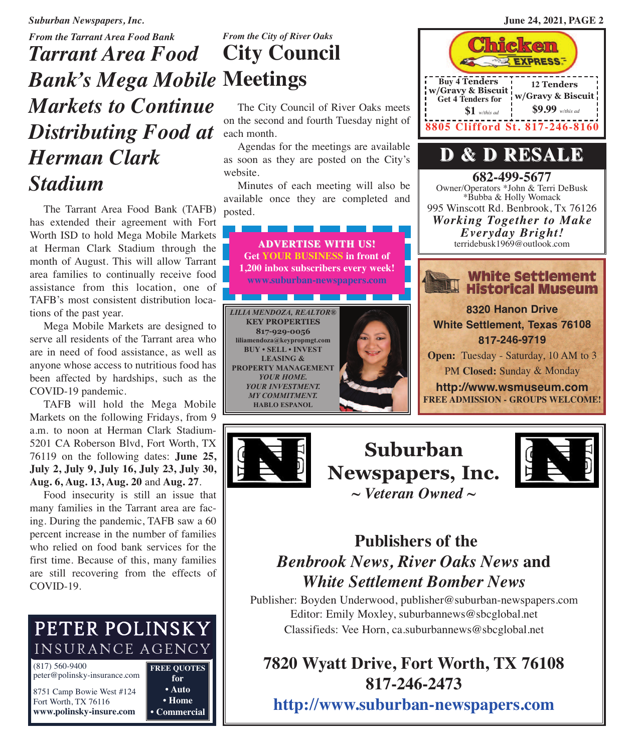**12 Tenders w/Gravy & Biscuit \$9.99** *w/this ad*

**682-499-5677** Owner/Operators \*John & Terri DeBusk \*Bubba & Holly Womack 995 Winscott Rd. Benbrook, Tx 76126

**D & D RESALE**

**8805 Clifford St. 817-246-8160**

**Buy 4 Tenders w/Gravy & Biscuit Get 4 Tenders for**

**\$1** *w/this ad*

*Suburban Newspapers, Inc.* **June 24, 2021, PAGE 2**

## *From the Tarrant Area Food Bank Tarrant Area Food Bank's Mega Mobile* **Meetings** *Markets to Continue Distributing Food at Herman Clark Stadium*

 The Tarrant Area Food Bank (TAFB) has extended their agreement with Fort Worth ISD to hold Mega Mobile Markets at Herman Clark Stadium through the month of August. This will allow Tarrant area families to continually receive food assistance from this location, one of TAFB's most consistent distribution locations of the past year.

 Mega Mobile Markets are designed to serve all residents of the Tarrant area who are in need of food assistance, as well as anyone whose access to nutritious food has been affected by hardships, such as the COVID-19 pandemic.

 TAFB will hold the Mega Mobile Markets on the following Fridays, from 9 a.m. to noon at Herman Clark Stadium-5201 CA Roberson Blvd, Fort Worth, TX 76119 on the following dates: **June 25, July 2, July 9, July 16, July 23, July 30, Aug. 6, Aug. 13, Aug. 20** and **Aug. 27**.

 Food insecurity is still an issue that many families in the Tarrant area are facing. During the pandemic, TAFB saw a 60 percent increase in the number of families who relied on food bank services for the first time. Because of this, many families are still recovering from the effects of COVID-19.

## PETER POLINSKY **INSURANCE AGENCY**

(817) 560-9400 peter@polinsky-insurance.com 8751 Camp Bowie West #124

Fort Worth, TX 76116 **<www.polinsky-insure.com>** **FREE QUOTES for • Auto • Home • Commercial**

# *From the City of River Oaks* **City Council**

 The City Council of River Oaks meets on the second and fourth Tuesday night of each month.

 Agendas for the meetings are available as soon as they are posted on the City's website.

 Minutes of each meeting will also be available once they are completed and posted.









## **Publishers of the** *Benbrook News, River Oaks News* **and** *White Settlement Bomber News*

Publisher: Boyden Underwood, publisher@suburban-newspapers.com Editor: Emily Moxley, suburbannews@sbcglobal.net Classifieds: Vee Horn, ca.suburbannews@sbcglobal.net

## **7820 Wyatt Drive, Fort Worth, TX 76108 817-246-2473**

**<http://www.suburban-newspapers.com>**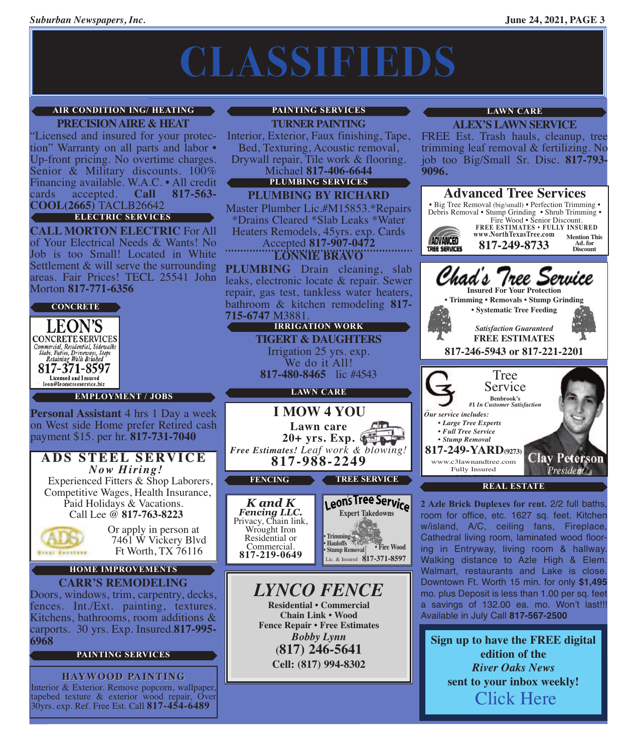# **CLASSIFIEDS**

#### **AIR CONDITION ING/ HEATING**

**PRECISION AIRE & HEAT**<br>
'Licensed and insured for your protection" Warranty on all parts and labor • Up-front pricing. No overtime charges.<br>Senior & Military discounts. 100% Financing available. W.A.C. • All credit cards accepted. **Call 817-563**cards accepted. **Call 817-563- COOL(2665)** TACLB26642

#### **ELECTRIC SERVICES**

**CALL MORTON ELECTRIC** For All of Your Electrical Needs & Wants! No Job is too Small! Located in White Settlement & will serve the surrounding areas. Fair Prices! TECL 25541 John Morton **817-771-6356**





**EMPLOYMENT / jOBS**

**Personal Assistant** 4 hrs 1 Day a week on West side Home prefer Retired cash payment \$15. per hr. **817-731-7040**

#### **ADS STEEL SERVICE ADS STEEL SERVICE** *Now Hiring!*

Experienced Fitters & Shop Laborers, Competitive Wages, Health Insurance, Paid Holidays & Vacations. Call Lee @ **817-763-8223**



Or apply in person at 7461 W Vickery Blvd Ft Worth, TX 76116

#### **CARR'S REMODELING HOME IMPROVEMENTS**

Doors, windows, trim, carpentry, decks, fences. Int./Ext. painting, textures. Kitchens, bathrooms, room additions & carports. 30 yrs. Exp. Insured.**817-995- 6968**

#### **PAINTING SERVICES**

**HAYWOOD PAINTING** Interior & Exterior. Remove popcorn, wallpaper, tapebed texture & exterior wood repair, Over 30yrs. exp. Ref. Free Est. Call **817-454-6489**

#### **PAINTING SERVICES**

**TURNER PAINTING**

Interior, Exterior, Faux finishing, Tape, Bed, Texturing, Acoustic removal, Drywall repair, Tile work & flooring.<br>Michael **817-406-6644** 

**PLUMBING SERVICES**

**PLUMBING BY RICHARD**

Master Plumber Lic.#M15853.\*Repairs \*Drains Cleared \*Slab Leaks \*Water Heaters Remodels, 45yrs. exp. Cards Accepted **817-907-0472**

**LONNIE BRAVO**

**PLUMBING** Drain cleaning, slab leaks, electronic locate & repair. Sewer repair, gas test, tankless water heaters, bathroom & kitchen remodeling **817- 715-6747** M3881.

> **TIGERT & DAUGHTERS** Irrigation 25 yrs. exp. We do it All! **817-480-8465** lic #4543 **IRRIGATION wORk**

#### **LAwN CARE**



Privacy, Chain link, Wrought Iron Residential or<br>Commercial. Commercial. **817-219-0649**

Leons Tree Service **Expert Takedowns • Trimming • Fire Wood • Hauloffs • Stump Removal**

Lic. & Insured **817-371-8597**

*LYNCO FENCE* **Residential • Commercial Chain Link • Wood Fence Repair • Free Estimates** *Bobby Lynn* **(817) 246-5641 Cell: (817) 994-8302**

#### **LAwN CARE**

**ALEX'S LAWN SERVICE**

FREE Est. Trash hauls, cleanup, tree trimming leaf removal & fertilizing. No job too Big/Small Sr. Disc. **817-793- 9096.**



**2 Azle Brick Duplexes for rent.** 2/2 full baths, room for office, etc. 1627 sq. feet. Kitchen w/island, A/C, ceiling fans, Fireplace, Cathedral living room, laminated wood flooring in Entryway, living room & hallway. Walking distance to Azle High & Elem. Walmart, restaurants and Lake is close. Downtown Ft. Worth 15 min. for only **\$1,495** mo. plus Deposit is less than 1.00 per sq. feet a savings of 132.00 ea. mo. Won't last!!! Available in July Call **817-567-2500**

**Sign up to have the FREE digital edition of the** *River Oaks News* **sent to your inbox weekly!** [Click](http://eepurl.com/g3m8OX) Here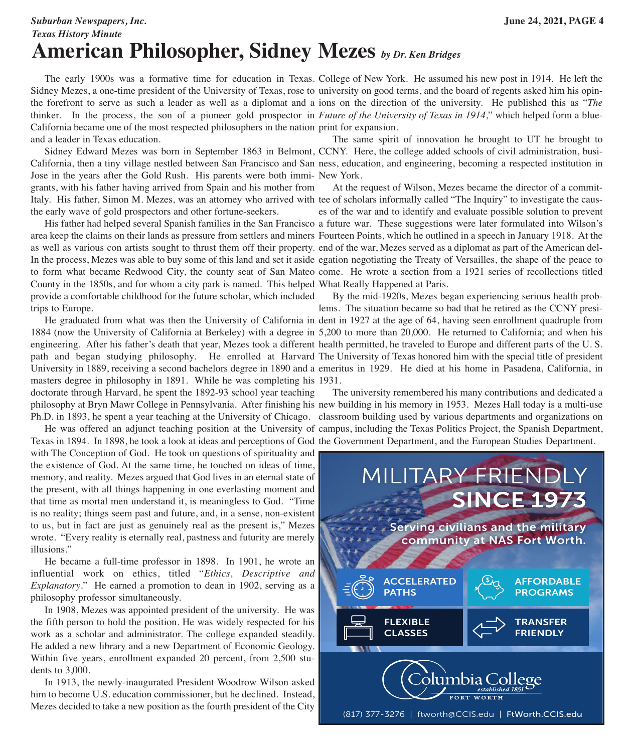### *Suburban Newspapers, Inc.* **June 24, 2021, PAGE 4** *Texas History Minute* **American Philosopher, Sidney Mezes** *by Dr. Ken Bridges*

 The early 1900s was a formative time for education in Texas. College of New York. He assumed his new post in 1914. He left the Sidney Mezes, a one-time president of the University of Texas, rose to university on good terms, and the board of regents asked him his opinthe forefront to serve as such a leader as well as a diplomat and a ions on the direction of the university. He published this as "*The* thinker. In the process, the son of a pioneer gold prospector in *Future of the University of Texas in 1914*," which helped form a blue-California became one of the most respected philosophers in the nation print for expansion. and a leader in Texas education.

 Sidney Edward Mezes was born in September 1863 in Belmont, CCNY. Here, the college added schools of civil administration, busi-California, then a tiny village nestled between San Francisco and San ness, education, and engineering, becoming a respected institution in Jose in the years after the Gold Rush. His parents were both immi-New York.

grants, with his father having arrived from Spain and his mother from the early wave of gold prospectors and other fortune-seekers.

County in the 1850s, and for whom a city park is named. This helped What Really Happened at Paris. provide a comfortable childhood for the future scholar, which included trips to Europe.

masters degree in philosophy in 1891. While he was completing his 1931.

doctorate through Harvard, he spent the 1892-93 school year teaching

Texas in 1894. In 1898, he took a look at ideas and perceptions of God the Government Department, and the European Studies Department.

with The Conception of God. He took on questions of spirituality and the existence of God. At the same time, he touched on ideas of time, memory, and reality. Mezes argued that God lives in an eternal state of the present, with all things happening in one everlasting moment and that time as mortal men understand it, is meaningless to God. "Time is no reality; things seem past and future, and, in a sense, non-existent to us, but in fact are just as genuinely real as the present is," Mezes wrote. "Every reality is eternally real, pastness and futurity are merely illusions."

 He became a full-time professor in 1898. In 1901, he wrote an influential work on ethics, titled "*Ethics, Descriptive and Explanatory*." He earned a promotion to dean in 1902, serving as a philosophy professor simultaneously.

 In 1908, Mezes was appointed president of the university. He was the fifth person to hold the position. He was widely respected for his work as a scholar and administrator. The college expanded steadily. He added a new library and a new Department of Economic Geology. Within five years, enrollment expanded 20 percent, from 2,500 students to 3,000.

 In 1913, the newly-inaugurated President Woodrow Wilson asked him to become U.S. education commissioner, but he declined. Instead, Mezes decided to take a new position as the fourth president of the City

The same spirit of innovation he brought to UT he brought to

Italy. His father, Simon M. Mezes, was an attorney who arrived with tee of scholars informally called "The Inquiry" to investigate the caus-His father had helped several Spanish families in the San Francisco a future war. These suggestions were later formulated into Wilson's area keep the claims on their lands as pressure from settlers and miners Fourteen Points, which he outlined in a speech in January 1918. At the as well as various con artists sought to thrust them off their property. end of the war, Mezes served as a diplomat as part of the American del-In the process, Mezes was able to buy some of this land and set it aside egation negotiating the Treaty of Versailles, the shape of the peace to to form what became Redwood City, the county seat of San Mateo come. He wrote a section from a 1921 series of recollections titled At the request of Wilson, Mezes became the director of a commites of the war and to identify and evaluate possible solution to prevent

 He graduated from what was then the University of California in dent in 1927 at the age of 64, having seen enrollment quadruple from 1884 (now the University of California at Berkeley) with a degree in 5,200 to more than 20,000. He returned to California; and when his engineering. After his father's death that year, Mezes took a different health permitted, he traveled to Europe and different parts of the U. S. path and began studying philosophy. He enrolled at Harvard The University of Texas honored him with the special title of president University in 1889, receiving a second bachelors degree in 1890 and a emeritus in 1929. He died at his home in Pasadena, California, in By the mid-1920s, Mezes began experiencing serious health problems. The situation became so bad that he retired as the CCNY presi-

philosophy at Bryn Mawr College in Pennsylvania. After finishing his new building in his memory in 1953. Mezes Hall today is a multi-use Ph.D. in 1893, he spent a year teaching at the University of Chicago. classroom building used by various departments and organizations on He was offered an adjunct teaching position at the University of campus, including the Texas Politics Project, the Spanish Department, The university remembered his many contributions and dedicated a

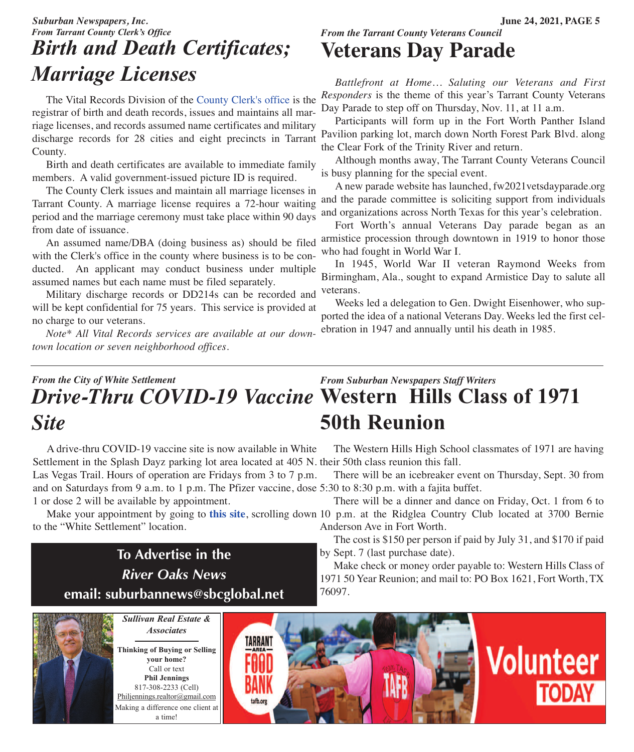## *Suburban Newspapers, Inc.* **June 24, 2021, PAGE 5** *From Tarrant County Clerk's Office Birth and Death Certificates; Marriage Licenses*

 The Vital Records Division of the [County](https://access.tarrantcounty.com/content/main/en/county-clerk/vital-records.html?linklocation=departmentcarousel&linkname=County%20Clerk:Vital%20Records) Clerk's office is the registrar of birth and death records, issues and maintains all marriage licenses, and records assumed name certificates and military County.

 Birth and death certificates are available to immediate family members. A valid government-issued picture ID is required.

 The County Clerk issues and maintain all marriage licenses in Tarrant County. A marriage license requires a 72-hour waiting period and the marriage ceremony must take place within 90 days from date of issuance.

 An assumed name/DBA (doing business as) should be filed with the Clerk's office in the county where business is to be conducted. An applicant may conduct business under multiple assumed names but each name must be filed separately.

 Military discharge records or DD214s can be recorded and will be kept confidential for 75 years. This service is provided at no charge to our veterans.

 *Note\* All Vital Records services are available at our downtown location or seven neighborhood offices.*

### *From the Tarrant County Veterans Council* **Veterans Day Parade**

 *Battlefront at Home… Saluting our Veterans and First Responders* is the theme of this year's Tarrant County Veterans Day Parade to step off on Thursday, Nov. 11, at 11 a.m.

discharge records for 28 cities and eight precincts in Tarrant Pavilion parking lot, march down North Forest Park Blvd. along Participants will form up in the Fort Worth Panther Island the Clear Fork of the Trinity River and return.

> Although months away, The Tarrant County Veterans Council is busy planning for the special event.

> A new parade website has launched, fw2021vetsdayparade.org and the parade committee is soliciting support from individuals and organizations across North Texas for this year's celebration.

> Fort Worth's annual Veterans Day parade began as an armistice procession through downtown in 1919 to honor those who had fought in World War I.

> In 1945, World War II veteran Raymond Weeks from Birmingham, Ala., sought to expand Armistice Day to salute all veterans.

> Weeks led a delegation to Gen. Dwight Eisenhower, who supported the idea of a national Veterans Day. Weeks led the first celebration in 1947 and annually until his death in 1985.

#### *From Suburban Newspapers Staff Writers* **western Hills Class of 1971** *Drive-Thru COVID-19 Vaccine* **50th Reunion** *From the City of White Settlement Site*

Settlement in the Splash Dayz parking lot area located at 405 N. their 50th class reunion this fall. and on Saturdays from 9 a.m. to 1 p.m. The Pfizer vaccine, dose 5:30 to 8:30 p.m. with a fajita buffet. A drive-thru COVID-19 vaccine site is now available in White Las Vegas Trail. Hours of operation are Fridays from 3 to 7 p.m. 1 or dose 2 will be available by appointment.

to the "White Settlement" location.

**To Advertise in the** *River Oaks News* **email: suburbannews@sbcglobal.net**

The Western Hills High School classmates of 1971 are having

There will be an icebreaker event on Thursday, Sept. 30 from

 There will be a dinner and dance on Friday, Oct. 1 from 6 to Make your appointment by going to [this](http://www.tarrantcounty.com/vaccinefinder) site, scrolling down 10 p.m. at the Ridglea Country Club located at 3700 Bernie Anderson Ave in Fort Worth.

> The cost is \$150 per person if paid by July 31, and \$170 if paid by Sept. 7 (last purchase date).

> Make check or money order payable to: Western Hills Class of 1971 50 Year Reunion; and mail to: PO Box 1621, Fort Worth, TX 76097.

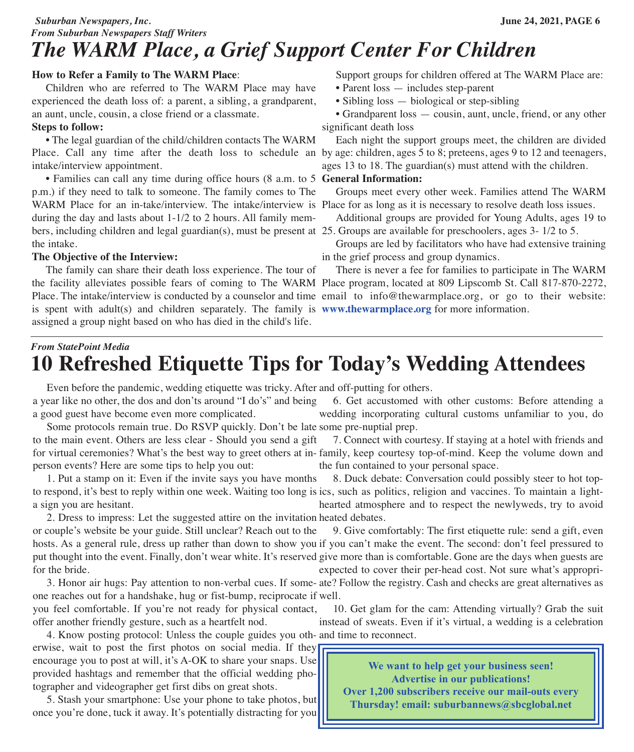### *Suburban Newspapers, Inc.* **June 24, 2021, PAGE 6** *From Suburban Newspapers Staff Writers The WARM Place, a Grief Support Center For Children*

#### **How to Refer a Family to The WARM Place**:

 Children who are referred to The WARM Place may have experienced the death loss of: a parent, a sibling, a grandparent, an aunt, uncle, cousin, a close friend or a classmate.

#### **Steps to follow:**

• The legal guardian of the child/children contacts The WARM Place. Call any time after the death loss to schedule an by age: children, ages 5 to 8; preteens, ages 9 to 12 and teenagers, intake/interview appointment.

 • Families can call any time during office hours (8 a.m. to 5 **General Information:** p.m.) if they need to talk to someone. The family comes to The WARM Place for an in-take/interview. The intake/interview is Place for as long as it is necessary to resolve death loss issues. during the day and lasts about 1-1/2 to 2 hours. All family members, including children and legal guardian(s), must be present at 25. Groups are available for preschoolers, ages 3- 1/2 to 5. the intake.

#### **The Objective of the Interview:**

 The family can share their death loss experience. The tour of the facility alleviates possible fears of coming to The WARM Place program, located at 809 Lipscomb St. Call 817-870-2272, Place. The intake/interview is conducted by a counselor and time email to info@thewarmplace.org, or go to their website: is spent with adult(s) and children separately. The family is **<www.thewarmplace.org>** for more information.assigned a group night based on who has died in the child's life.

Support groups for children offered at The WARM Place are:

- Parent loss includes step-parent
- Sibling loss biological or step-sibling

• Grandparent loss — cousin, aunt, uncle, friend, or any other significant death loss

 Each night the support groups meet, the children are divided ages 13 to 18. The guardian(s) must attend with the children.

Groups meet every other week. Families attend The WARM

Additional groups are provided for Young Adults, ages 19 to

 Groups are led by facilitators who have had extensive training in the grief process and group dynamics.

There is never a fee for families to participate in The WARM

## *From StatePoint Media* **10 Refreshed Etiquette Tips for Today's Wedding Attendees**

Even before the pandemic, wedding etiquette was tricky. After and off-putting for others.

a year like no other, the dos and don'ts around "I do's" and being a good guest have become even more complicated. Some protocols remain true. Do RSVP quickly. Don't be late some pre-nuptial prep. 6. Get accustomed with other customs: Before attending a wedding incorporating cultural customs unfamiliar to you, do

to the main event. Others are less clear - Should you send a gift for virtual ceremonies? What's the best way to greet others at in-family, keep courtesy top-of-mind. Keep the volume down and person events? Here are some tips to help you out: 7. Connect with courtesy. If staying at a hotel with friends and the fun contained to your personal space.

 1. Put a stamp on it: Even if the invite says you have months to respond, it's best to reply within one week. Waiting too long is ics, such as politics, religion and vaccines. To maintain a lighta sign you are hesitant. 8. Duck debate: Conversation could possibly steer to hot top-

 2. Dress to impress: Let the suggested attire on the invitation heated debates. or couple's website be your guide. Still unclear? Reach out to the hosts. As a general rule, dress up rather than down to show you if you can't make the event. The second: don't feel pressured to put thought into the event. Finally, don't wear white. It's reserved give more than is comfortable. Gone are the days when guests are for the bride. 9. Give comfortably: The first etiquette rule: send a gift, even expected to cover their per-head cost. Not sure what's appropri-

 3. Honor air hugs: Pay attention to non-verbal cues. If some-ate? Follow the registry. Cash and checks are great alternatives as one reaches out for a handshake, hug or fist-bump, reciprocate if well.

you feel comfortable. If you're not ready for physical contact, offer another friendly gesture, such as a heartfelt nod.

 4. Know posting protocol: Unless the couple guides you oth-and time to reconnect. erwise, wait to post the first photos on social media. If they encourage you to post at will, it's A-OK to share your snaps. Use provided hashtags and remember that the official wedding photographer and videographer get first dibs on great shots.

 5. Stash your smartphone: Use your phone to take photos, but once you're done, tuck it away. It's potentially distracting for you

hearted atmosphere and to respect the newlyweds, try to avoid

 10. Get glam for the cam: Attending virtually? Grab the suit instead of sweats. Even if it's virtual, a wedding is a celebration

**We want to help get your business seen! Advertise in our publications! Over 1,200 subscribers receive our mail-outs every Thursday! email: [suburbannews@sbcglobal.net](http://www.suburban-newspapers.com/contact.html)**